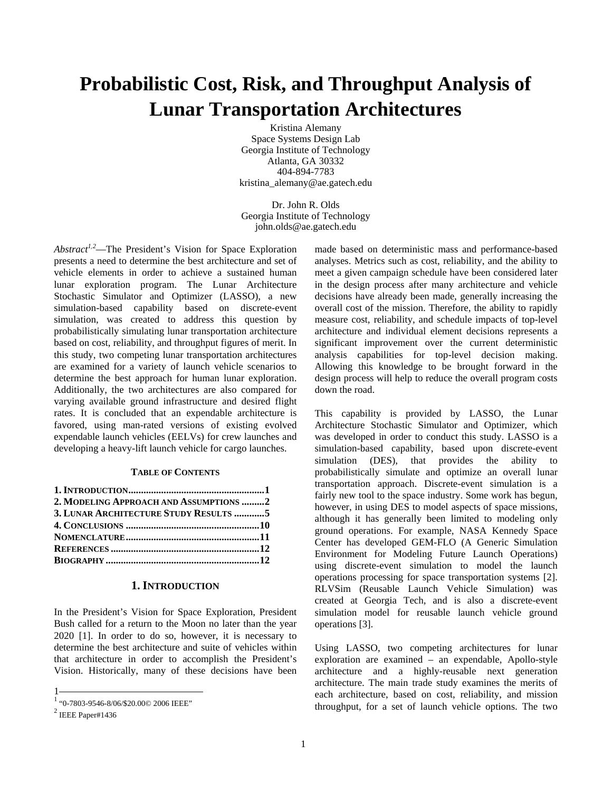# **Probabilistic Cost, Risk, and Throughput Analysis of Lunar Transportation Architectures**

Kristina Alemany Space Systems Design Lab Georgia Institute of Technology Atlanta, GA 30332 404-894-7783 kristina\_alemany@ae.gatech.edu

Dr. John R. Olds Georgia Institute of Technology john.olds@ae.gatech.edu

*Abstract<sup>1,2</sup>*—The President's Vision for Space Exploration presents a need to determine the best architecture and set of vehicle elements in order to achieve a sustained human lunar exploration program. The Lunar Architecture Stochastic Simulator and Optimizer (LASSO), a new simulation-based capability based on discrete-event simulation, was created to address this question by probabilistically simulating lunar transportation architecture based on cost, reliability, and throughput figures of merit. In this study, two competing lunar transportation architectures are examined for a variety of launch vehicle scenarios to determine the best approach for human lunar exploration. Additionally, the two architectures are also compared for varying available ground infrastructure and desired flight rates. It is concluded that an expendable architecture is favored, using man-rated versions of existing evolved expendable launch vehicles (EELVs) for crew launches and developing a heavy-lift launch vehicle for cargo launches.

#### **TABLE OF CONTENTS**

| 2. MODELING APPROACH AND ASSUMPTIONS 2       |  |
|----------------------------------------------|--|
| <b>3. LUNAR ARCHITECTURE STUDY RESULTS 5</b> |  |
|                                              |  |
|                                              |  |
|                                              |  |
|                                              |  |

#### **1. INTRODUCTION**

In the President's Vision for Space Exploration, President Bush called for a return to the Moon no later than the year 2020 [1]. In order to do so, however, it is necessary to determine the best architecture and suite of vehicles within that architecture in order to accomplish the President's Vision. Historically, many of these decisions have been

made based on deterministic mass and performance-based analyses. Metrics such as cost, reliability, and the ability to meet a given campaign schedule have been considered later in the design process after many architecture and vehicle decisions have already been made, generally increasing the overall cost of the mission. Therefore, the ability to rapidly measure cost, reliability, and schedule impacts of top-level architecture and individual element decisions represents a significant improvement over the current deterministic analysis capabilities for top-level decision making. Allowing this knowledge to be brought forward in the design process will help to reduce the overall program costs down the road.

This capability is provided by LASSO, the Lunar Architecture Stochastic Simulator and Optimizer, which was developed in order to conduct this study. LASSO is a simulation-based capability, based upon discrete-event simulation (DES), that provides the ability to probabilistically simulate and optimize an overall lunar transportation approach. Discrete-event simulation is a fairly new tool to the space industry. Some work has begun, however, in using DES to model aspects of space missions, although it has generally been limited to modeling only ground operations. For example, NASA Kennedy Space Center has developed GEM-FLO (A Generic Simulation Environment for Modeling Future Launch Operations) using discrete-event simulation to model the launch operations processing for space transportation systems [2]. RLVSim (Reusable Launch Vehicle Simulation) was created at Georgia Tech, and is also a discrete-event simulation model for reusable launch vehicle ground operations [3].

Using LASSO, two competing architectures for lunar exploration are examined – an expendable, Apollo-style architecture and a highly-reusable next generation architecture. The main trade study examines the merits of each architecture, based on cost, reliability, and mission throughput, for a set of launch vehicle options. The two

<sup>1—&</sup>lt;br><sup>1</sup> ··0-7803-9546-8/06/\$20.00© 2006 IEEE''<br><sup>2</sup> JEEE Perse#1426

 $2$  IEEE Paper#1436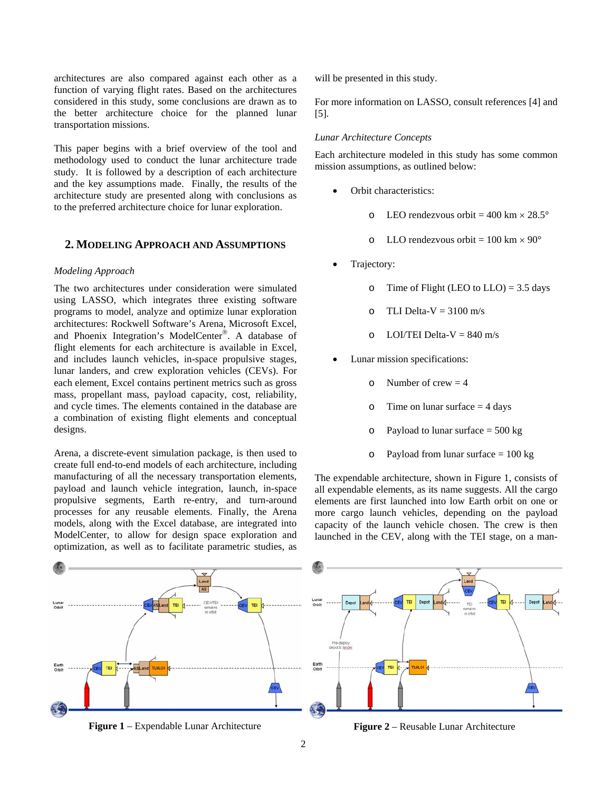architectures are also compared against each other as a function of varying flight rates. Based on the architectures considered in this study, some conclusions are drawn as to the better architecture choice for the planned lunar transportation missions.

This paper begins with a brief overview of the tool and methodology used to conduct the lunar architecture trade study. It is followed by a description of each architecture and the key assumptions made. Finally, the results of the architecture study are presented along with conclusions as to the preferred architecture choice for lunar exploration.

## **2. MODELING APPROACH AND ASSUMPTIONS**

#### *Modeling Approach*

The two architectures under consideration were simulated using LASSO, which integrates three existing software programs to model, analyze and optimize lunar exploration architectures: Rockwell Software's Arena, Microsoft Excel, and Phoenix Integration's ModelCenter®. A database of flight elements for each architecture is available in Excel, and includes launch vehicles, in-space propulsive stages, lunar landers, and crew exploration vehicles (CEVs). For each element, Excel contains pertinent metrics such as gross mass, propellant mass, payload capacity, cost, reliability, and cycle times. The elements contained in the database are a combination of existing flight elements and conceptual designs.

Arena, a discrete-event simulation package, is then used to create full end-to-end models of each architecture, including manufacturing of all the necessary transportation elements, payload and launch vehicle integration, launch, in-space propulsive segments, Earth re-entry, and turn-around processes for any reusable elements. Finally, the Arena models, along with the Excel database, are integrated into ModelCenter, to allow for design space exploration and optimization, as well as to facilitate parametric studies, as will be presented in this study.

For more information on LASSO, consult references [4] and [5].

#### *Lunar Architecture Concepts*

Each architecture modeled in this study has some common mission assumptions, as outlined below:

- Orbit characteristics:
	- o LEO rendezvous orbit =  $400 \text{ km} \times 28.5^{\circ}$
	- o LLO rendezvous orbit =  $100 \text{ km} \times 90^{\circ}$
- Trajectory:
	- o Time of Flight (LEO to LLO) =  $3.5$  days
	- o TLI Delta-V =  $3100 \text{ m/s}$
	- $O$  LOI/TEI Delta-V = 840 m/s
- Lunar mission specifications:
	- o Number of crew  $= 4$
	- $\circ$  Time on lunar surface = 4 days
	- o Payload to lunar surface  $= 500 \text{ kg}$
	- o Payload from lunar surface  $= 100 \text{ kg}$

The expendable architecture, shown in Figure 1, consists of all expendable elements, as its name suggests. All the cargo elements are first launched into low Earth orbit on one or more cargo launch vehicles, depending on the payload capacity of the launch vehicle chosen. The crew is then launched in the CEV, along with the TEI stage, on a man-



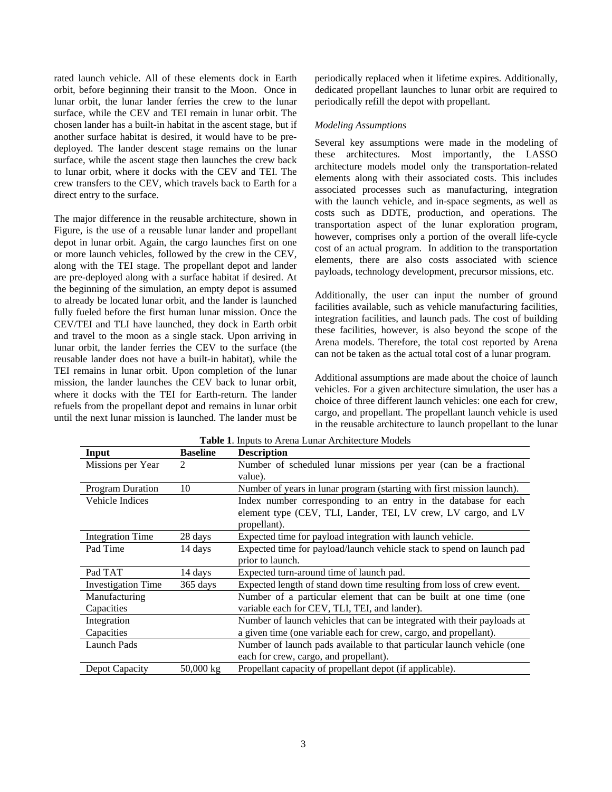rated launch vehicle. All of these elements dock in Earth orbit, before beginning their transit to the Moon. Once in lunar orbit, the lunar lander ferries the crew to the lunar surface, while the CEV and TEI remain in lunar orbit. The chosen lander has a built-in habitat in the ascent stage, but if another surface habitat is desired, it would have to be predeployed. The lander descent stage remains on the lunar surface, while the ascent stage then launches the crew back to lunar orbit, where it docks with the CEV and TEI. The crew transfers to the CEV, which travels back to Earth for a direct entry to the surface.

The major difference in the reusable architecture, shown in Figure, is the use of a reusable lunar lander and propellant depot in lunar orbit. Again, the cargo launches first on one or more launch vehicles, followed by the crew in the CEV, along with the TEI stage. The propellant depot and lander are pre-deployed along with a surface habitat if desired. At the beginning of the simulation, an empty depot is assumed to already be located lunar orbit, and the lander is launched fully fueled before the first human lunar mission. Once the CEV/TEI and TLI have launched, they dock in Earth orbit and travel to the moon as a single stack. Upon arriving in lunar orbit, the lander ferries the CEV to the surface (the reusable lander does not have a built-in habitat), while the TEI remains in lunar orbit. Upon completion of the lunar mission, the lander launches the CEV back to lunar orbit, where it docks with the TEI for Earth-return. The lander refuels from the propellant depot and remains in lunar orbit until the next lunar mission is launched. The lander must be

periodically replaced when it lifetime expires. Additionally, dedicated propellant launches to lunar orbit are required to periodically refill the depot with propellant.

#### *Modeling Assumptions*

Several key assumptions were made in the modeling of these architectures. Most importantly, the LASSO architecture models model only the transportation-related elements along with their associated costs. This includes associated processes such as manufacturing, integration with the launch vehicle, and in-space segments, as well as costs such as DDTE, production, and operations. The transportation aspect of the lunar exploration program, however, comprises only a portion of the overall life-cycle cost of an actual program. In addition to the transportation elements, there are also costs associated with science payloads, technology development, precursor missions, etc.

Additionally, the user can input the number of ground facilities available, such as vehicle manufacturing facilities, integration facilities, and launch pads. The cost of building these facilities, however, is also beyond the scope of the Arena models. Therefore, the total cost reported by Arena can not be taken as the actual total cost of a lunar program.

Additional assumptions are made about the choice of launch vehicles. For a given architecture simulation, the user has a choice of three different launch vehicles: one each for crew, cargo, and propellant. The propellant launch vehicle is used in the reusable architecture to launch propellant to the lunar

| Input                     | <b>Baseline</b>     | <b>Description</b>                                                      |
|---------------------------|---------------------|-------------------------------------------------------------------------|
| Missions per Year         | 2                   | Number of scheduled lunar missions per year (can be a fractional        |
|                           |                     | value).                                                                 |
| <b>Program Duration</b>   | 10                  | Number of years in lunar program (starting with first mission launch).  |
| Vehicle Indices           |                     | Index number corresponding to an entry in the database for each         |
|                           |                     | element type (CEV, TLI, Lander, TEI, LV crew, LV cargo, and LV          |
|                           |                     | propellant).                                                            |
| <b>Integration Time</b>   | 28 days             | Expected time for payload integration with launch vehicle.              |
| Pad Time                  | 14 days             | Expected time for payload/launch vehicle stack to spend on launch pad   |
|                           |                     | prior to launch.                                                        |
| Pad TAT                   | 14 days             | Expected turn-around time of launch pad.                                |
| <b>Investigation Time</b> | 365 days            | Expected length of stand down time resulting from loss of crew event.   |
| Manufacturing             |                     | Number of a particular element that can be built at one time (one       |
| Capacities                |                     | variable each for CEV, TLI, TEI, and lander).                           |
| Integration               |                     | Number of launch vehicles that can be integrated with their payloads at |
| Capacities                |                     | a given time (one variable each for crew, cargo, and propellant).       |
| Launch Pads               |                     | Number of launch pads available to that particular launch vehicle (one  |
|                           |                     | each for crew, cargo, and propellant).                                  |
| Depot Capacity            | $50,000 \text{ kg}$ | Propellant capacity of propellant depot (if applicable).                |

**Table 1**. Inputs to Arena Lunar Architecture Models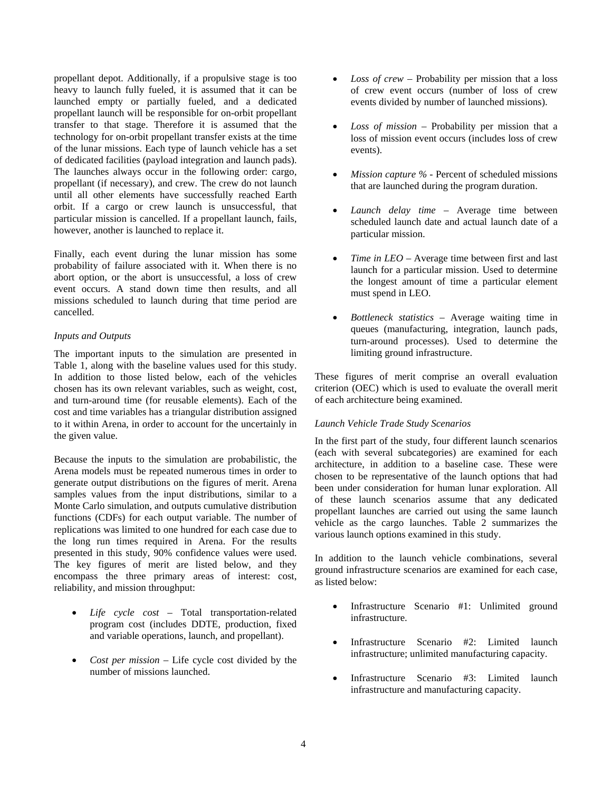propellant depot. Additionally, if a propulsive stage is too heavy to launch fully fueled, it is assumed that it can be launched empty or partially fueled, and a dedicated propellant launch will be responsible for on-orbit propellant transfer to that stage. Therefore it is assumed that the technology for on-orbit propellant transfer exists at the time of the lunar missions. Each type of launch vehicle has a set of dedicated facilities (payload integration and launch pads). The launches always occur in the following order: cargo, propellant (if necessary), and crew. The crew do not launch until all other elements have successfully reached Earth orbit. If a cargo or crew launch is unsuccessful, that particular mission is cancelled. If a propellant launch, fails, however, another is launched to replace it.

Finally, each event during the lunar mission has some probability of failure associated with it. When there is no abort option, or the abort is unsuccessful, a loss of crew event occurs. A stand down time then results, and all missions scheduled to launch during that time period are cancelled.

#### *Inputs and Outputs*

The important inputs to the simulation are presented in Table 1, along with the baseline values used for this study. In addition to those listed below, each of the vehicles chosen has its own relevant variables, such as weight, cost, and turn-around time (for reusable elements). Each of the cost and time variables has a triangular distribution assigned to it within Arena, in order to account for the uncertainly in the given value.

Because the inputs to the simulation are probabilistic, the Arena models must be repeated numerous times in order to generate output distributions on the figures of merit. Arena samples values from the input distributions, similar to a Monte Carlo simulation, and outputs cumulative distribution functions (CDFs) for each output variable. The number of replications was limited to one hundred for each case due to the long run times required in Arena. For the results presented in this study, 90% confidence values were used. The key figures of merit are listed below, and they encompass the three primary areas of interest: cost, reliability, and mission throughput:

- *Life cycle cost* Total transportation-related program cost (includes DDTE, production, fixed and variable operations, launch, and propellant).
- *Cost per mission* Life cycle cost divided by the number of missions launched.
- *Loss of crew* Probability per mission that a loss of crew event occurs (number of loss of crew events divided by number of launched missions).
- *Loss of mission* Probability per mission that a loss of mission event occurs (includes loss of crew events).
- *Mission capture %* Percent of scheduled missions that are launched during the program duration.
- *Launch delay time* Average time between scheduled launch date and actual launch date of a particular mission.
- *Time in LEO* Average time between first and last launch for a particular mission. Used to determine the longest amount of time a particular element must spend in LEO.
- *Bottleneck statistics* Average waiting time in queues (manufacturing, integration, launch pads, turn-around processes). Used to determine the limiting ground infrastructure.

These figures of merit comprise an overall evaluation criterion (OEC) which is used to evaluate the overall merit of each architecture being examined.

#### *Launch Vehicle Trade Study Scenarios*

In the first part of the study, four different launch scenarios (each with several subcategories) are examined for each architecture, in addition to a baseline case. These were chosen to be representative of the launch options that had been under consideration for human lunar exploration. All of these launch scenarios assume that any dedicated propellant launches are carried out using the same launch vehicle as the cargo launches. Table 2 summarizes the various launch options examined in this study.

In addition to the launch vehicle combinations, several ground infrastructure scenarios are examined for each case, as listed below:

- Infrastructure Scenario #1: Unlimited ground infrastructure.
- Infrastructure Scenario #2: Limited launch infrastructure; unlimited manufacturing capacity.
- Infrastructure Scenario #3: Limited launch infrastructure and manufacturing capacity.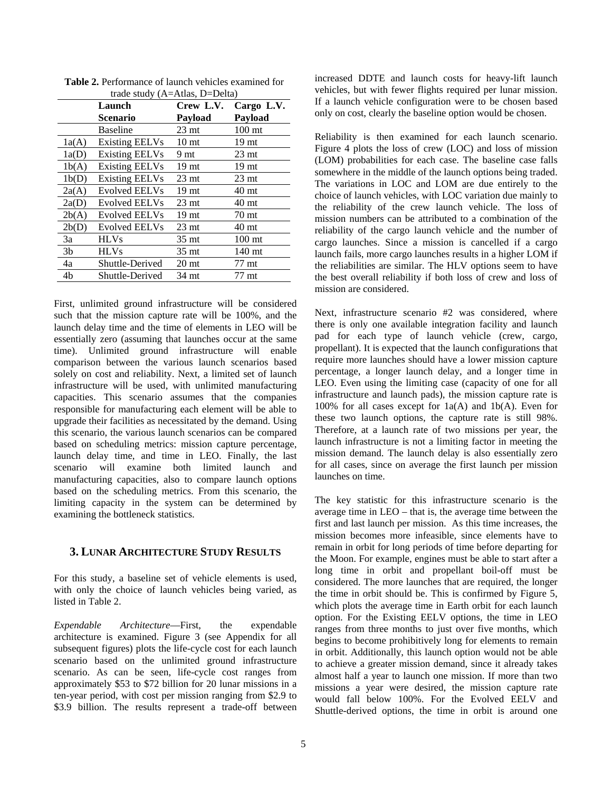|                | <b>Scenario</b>       |                  |                   |
|----------------|-----------------------|------------------|-------------------|
|                |                       | Payload          | Payload           |
|                | <b>Baseline</b>       | $23 \text{ mt}$  | 100 <sub>mt</sub> |
| 1a(A)          | <b>Existing EELVs</b> | 10 <sub>mt</sub> | 19 <sub>mt</sub>  |
| 1a(D)          | <b>Existing EELVs</b> | 9 mt             | $23 \text{ mt}$   |
| 1b(A)          | <b>Existing EELVs</b> | 19 <sub>mt</sub> | 19 <sub>mt</sub>  |
| 1b(D)          | <b>Existing EELVs</b> | $23 \text{ mt}$  | $23 \text{ mt}$   |
| 2a(A)          | <b>Evolved EELVs</b>  | 19 <sub>mt</sub> | 40 <sub>mt</sub>  |
| 2a(D)          | <b>Evolved EELVs</b>  | $23 \text{ mt}$  | 40 <sub>mt</sub>  |
| 2b(A)          | <b>Evolved EELVs</b>  | 19 <sub>mt</sub> | 70 <sub>mt</sub>  |
| 2b(D)          | <b>Evolved EELVs</b>  | $23 \text{ mt}$  | 40 <sub>mt</sub>  |
| 3a             | <b>HLVs</b>           | $35 \text{ mt}$  | 100 <sub>mt</sub> |
| 3 <sub>b</sub> | <b>HLVs</b>           | 35 mt            | 140 mt            |
| 4a             | Shuttle-Derived       | 20 <sub>mt</sub> | 77 mt             |
| 4b             | Shuttle-Derived       | 34 mt            | 77 mt             |

**Table 2.** Performance of launch vehicles examined for trade study  $(A = A_t \log_2 D_t - D_t \log_2 n)$ 

First, unlimited ground infrastructure will be considered such that the mission capture rate will be 100%, and the launch delay time and the time of elements in LEO will be essentially zero (assuming that launches occur at the same time). Unlimited ground infrastructure will enable comparison between the various launch scenarios based solely on cost and reliability. Next, a limited set of launch infrastructure will be used, with unlimited manufacturing capacities. This scenario assumes that the companies responsible for manufacturing each element will be able to upgrade their facilities as necessitated by the demand. Using this scenario, the various launch scenarios can be compared based on scheduling metrics: mission capture percentage, launch delay time, and time in LEO. Finally, the last scenario will examine both limited launch and manufacturing capacities, also to compare launch options based on the scheduling metrics. From this scenario, the limiting capacity in the system can be determined by examining the bottleneck statistics.

#### **3. LUNAR ARCHITECTURE STUDY RESULTS**

For this study, a baseline set of vehicle elements is used, with only the choice of launch vehicles being varied, as listed in Table 2.

*Expendable Architecture*—First, the expendable architecture is examined. Figure 3 (see Appendix for all subsequent figures) plots the life-cycle cost for each launch scenario based on the unlimited ground infrastructure scenario. As can be seen, life-cycle cost ranges from approximately \$53 to \$72 billion for 20 lunar missions in a ten-year period, with cost per mission ranging from \$2.9 to \$3.9 billion. The results represent a trade-off between

increased DDTE and launch costs for heavy-lift launch vehicles, but with fewer flights required per lunar mission. If a launch vehicle configuration were to be chosen based only on cost, clearly the baseline option would be chosen.

Reliability is then examined for each launch scenario. Figure 4 plots the loss of crew (LOC) and loss of mission (LOM) probabilities for each case. The baseline case falls somewhere in the middle of the launch options being traded. The variations in LOC and LOM are due entirely to the choice of launch vehicles, with LOC variation due mainly to the reliability of the crew launch vehicle. The loss of mission numbers can be attributed to a combination of the reliability of the cargo launch vehicle and the number of cargo launches. Since a mission is cancelled if a cargo launch fails, more cargo launches results in a higher LOM if the reliabilities are similar. The HLV options seem to have the best overall reliability if both loss of crew and loss of mission are considered.

Next, infrastructure scenario #2 was considered, where there is only one available integration facility and launch pad for each type of launch vehicle (crew, cargo, propellant). It is expected that the launch configurations that require more launches should have a lower mission capture percentage, a longer launch delay, and a longer time in LEO. Even using the limiting case (capacity of one for all infrastructure and launch pads), the mission capture rate is 100% for all cases except for  $1a(A)$  and  $1b(A)$ . Even for these two launch options, the capture rate is still 98%. Therefore, at a launch rate of two missions per year, the launch infrastructure is not a limiting factor in meeting the mission demand. The launch delay is also essentially zero for all cases, since on average the first launch per mission launches on time.

The key statistic for this infrastructure scenario is the average time in LEO – that is, the average time between the first and last launch per mission. As this time increases, the mission becomes more infeasible, since elements have to remain in orbit for long periods of time before departing for the Moon. For example, engines must be able to start after a long time in orbit and propellant boil-off must be considered. The more launches that are required, the longer the time in orbit should be. This is confirmed by Figure 5, which plots the average time in Earth orbit for each launch option. For the Existing EELV options, the time in LEO ranges from three months to just over five months, which begins to become prohibitively long for elements to remain in orbit. Additionally, this launch option would not be able to achieve a greater mission demand, since it already takes almost half a year to launch one mission. If more than two missions a year were desired, the mission capture rate would fall below 100%. For the Evolved EELV and Shuttle-derived options, the time in orbit is around one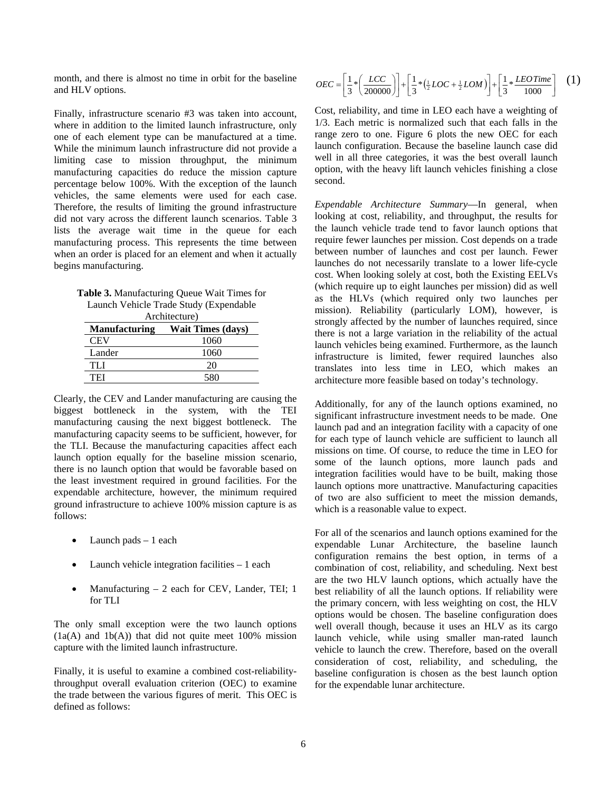month, and there is almost no time in orbit for the baseline and HLV options.

Finally, infrastructure scenario #3 was taken into account, where in addition to the limited launch infrastructure, only one of each element type can be manufactured at a time. While the minimum launch infrastructure did not provide a limiting case to mission throughput, the minimum manufacturing capacities do reduce the mission capture percentage below 100%. With the exception of the launch vehicles, the same elements were used for each case. Therefore, the results of limiting the ground infrastructure did not vary across the different launch scenarios. Table 3 lists the average wait time in the queue for each manufacturing process. This represents the time between when an order is placed for an element and when it actually begins manufacturing.

**Table 3.** Manufacturing Queue Wait Times for Launch Vehicle Trade Study (Expendable Architecture)

| $1$ Monteveture $\mu$ |                   |  |  |
|-----------------------|-------------------|--|--|
| <b>Manufacturing</b>  | Wait Times (davs) |  |  |
| CEV                   | 1060              |  |  |
| Lander                | 1060              |  |  |
| TI J                  | 20                |  |  |
| TEI                   | 580               |  |  |
|                       |                   |  |  |

Clearly, the CEV and Lander manufacturing are causing the biggest bottleneck in the system, with the TEI manufacturing causing the next biggest bottleneck. The manufacturing capacity seems to be sufficient, however, for the TLI. Because the manufacturing capacities affect each launch option equally for the baseline mission scenario, there is no launch option that would be favorable based on the least investment required in ground facilities. For the expendable architecture, however, the minimum required ground infrastructure to achieve 100% mission capture is as follows:

- Launch pads  $-1$  each
- Launch vehicle integration facilities  $-1$  each
- Manufacturing 2 each for CEV, Lander, TEI; 1 for TLI

The only small exception were the two launch options  $(1a(A)$  and  $1b(A))$  that did not quite meet 100% mission capture with the limited launch infrastructure.

Finally, it is useful to examine a combined cost-reliabilitythroughput overall evaluation criterion (OEC) to examine the trade between the various figures of merit. This OEC is defined as follows:

$$
OEC = \left[\frac{1}{3} * \left(\frac{LCC}{200000}\right)\right] + \left[\frac{1}{3} * \left(\frac{1}{2} LOC + \frac{1}{2}LOM\right)\right] + \left[\frac{1}{3} * \frac{LEOTime}{1000}\right] \quad (1)
$$

Cost, reliability, and time in LEO each have a weighting of 1/3. Each metric is normalized such that each falls in the range zero to one. Figure 6 plots the new OEC for each launch configuration. Because the baseline launch case did well in all three categories, it was the best overall launch option, with the heavy lift launch vehicles finishing a close second.

*Expendable Architecture Summary*—In general, when looking at cost, reliability, and throughput, the results for the launch vehicle trade tend to favor launch options that require fewer launches per mission. Cost depends on a trade between number of launches and cost per launch. Fewer launches do not necessarily translate to a lower life-cycle cost. When looking solely at cost, both the Existing EELVs (which require up to eight launches per mission) did as well as the HLVs (which required only two launches per mission). Reliability (particularly LOM), however, is strongly affected by the number of launches required, since there is not a large variation in the reliability of the actual launch vehicles being examined. Furthermore, as the launch infrastructure is limited, fewer required launches also translates into less time in LEO, which makes an architecture more feasible based on today's technology.

Additionally, for any of the launch options examined, no significant infrastructure investment needs to be made. One launch pad and an integration facility with a capacity of one for each type of launch vehicle are sufficient to launch all missions on time. Of course, to reduce the time in LEO for some of the launch options, more launch pads and integration facilities would have to be built, making those launch options more unattractive. Manufacturing capacities of two are also sufficient to meet the mission demands, which is a reasonable value to expect.

For all of the scenarios and launch options examined for the expendable Lunar Architecture, the baseline launch configuration remains the best option, in terms of a combination of cost, reliability, and scheduling. Next best are the two HLV launch options, which actually have the best reliability of all the launch options. If reliability were the primary concern, with less weighting on cost, the HLV options would be chosen. The baseline configuration does well overall though, because it uses an HLV as its cargo launch vehicle, while using smaller man-rated launch vehicle to launch the crew. Therefore, based on the overall consideration of cost, reliability, and scheduling, the baseline configuration is chosen as the best launch option for the expendable lunar architecture.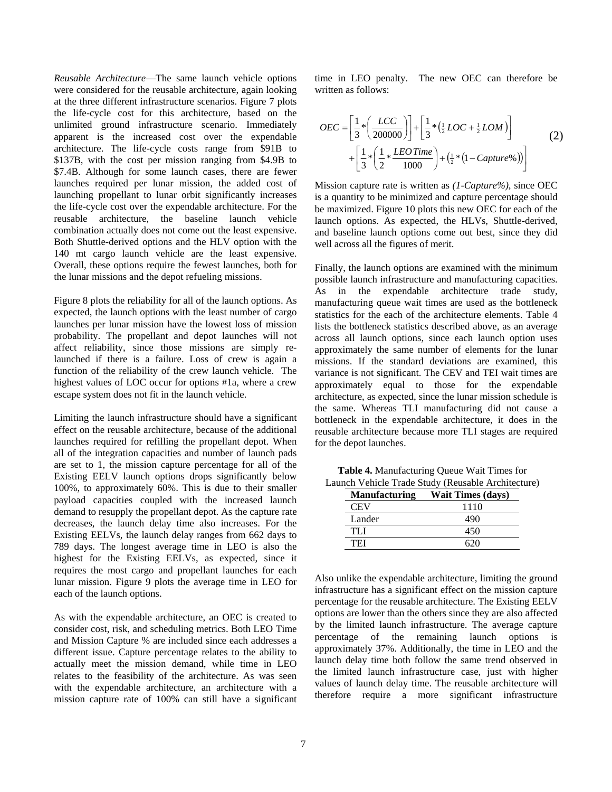*Reusable Architecture*—The same launch vehicle options were considered for the reusable architecture, again looking at the three different infrastructure scenarios. Figure 7 plots the life-cycle cost for this architecture, based on the unlimited ground infrastructure scenario. Immediately apparent is the increased cost over the expendable architecture. The life-cycle costs range from \$91B to \$137B, with the cost per mission ranging from \$4.9B to \$7.4B. Although for some launch cases, there are fewer launches required per lunar mission, the added cost of launching propellant to lunar orbit significantly increases the life-cycle cost over the expendable architecture. For the reusable architecture, the baseline launch vehicle combination actually does not come out the least expensive. Both Shuttle-derived options and the HLV option with the 140 mt cargo launch vehicle are the least expensive. Overall, these options require the fewest launches, both for the lunar missions and the depot refueling missions.

Figure 8 plots the reliability for all of the launch options. As expected, the launch options with the least number of cargo launches per lunar mission have the lowest loss of mission probability. The propellant and depot launches will not affect reliability, since those missions are simply relaunched if there is a failure. Loss of crew is again a function of the reliability of the crew launch vehicle. The highest values of LOC occur for options #1a, where a crew escape system does not fit in the launch vehicle.

Limiting the launch infrastructure should have a significant effect on the reusable architecture, because of the additional launches required for refilling the propellant depot. When all of the integration capacities and number of launch pads are set to 1, the mission capture percentage for all of the Existing EELV launch options drops significantly below 100%, to approximately 60%. This is due to their smaller payload capacities coupled with the increased launch demand to resupply the propellant depot. As the capture rate decreases, the launch delay time also increases. For the Existing EELVs, the launch delay ranges from 662 days to 789 days. The longest average time in LEO is also the highest for the Existing EELVs, as expected, since it requires the most cargo and propellant launches for each lunar mission. Figure 9 plots the average time in LEO for each of the launch options.

As with the expendable architecture, an OEC is created to consider cost, risk, and scheduling metrics. Both LEO Time and Mission Capture % are included since each addresses a different issue. Capture percentage relates to the ability to actually meet the mission demand, while time in LEO relates to the feasibility of the architecture. As was seen with the expendable architecture, an architecture with a mission capture rate of 100% can still have a significant

time in LEO penalty. The new OEC can therefore be written as follows:

$$
OEC = \left[\frac{1}{3} * \left(\frac{LCC}{200000}\right)\right] + \left[\frac{1}{3} * \left(\frac{1}{2} LOC + \frac{1}{2}LOM\right)\right] + \left[\frac{1}{3} * \left(\frac{1}{2} * \frac{LEOTime}{1000}\right) + \left(\frac{1}{2} * \left(1 - Capture\right)\right)\right]
$$
(2)

Mission capture rate is written as *(1-Capture%)*, since OEC is a quantity to be minimized and capture percentage should be maximized. Figure 10 plots this new OEC for each of the launch options. As expected, the HLVs, Shuttle-derived, and baseline launch options come out best, since they did well across all the figures of merit.

Finally, the launch options are examined with the minimum possible launch infrastructure and manufacturing capacities. As in the expendable architecture trade study, manufacturing queue wait times are used as the bottleneck statistics for the each of the architecture elements. Table 4 lists the bottleneck statistics described above, as an average across all launch options, since each launch option uses approximately the same number of elements for the lunar missions. If the standard deviations are examined, this variance is not significant. The CEV and TEI wait times are approximately equal to those for the expendable architecture, as expected, since the lunar mission schedule is the same. Whereas TLI manufacturing did not cause a bottleneck in the expendable architecture, it does in the reusable architecture because more TLI stages are required for the depot launches.

**Table 4.** Manufacturing Queue Wait Times for Launch Vehicle Trade Study (Reusable Architecture)

| <b>Manufacturing</b> | <b>Wait Times (days)</b> |
|----------------------|--------------------------|
| <b>CEV</b>           | 1110                     |
| Lander               | 490                      |
| TI J                 | 450                      |
| TFI                  |                          |
|                      |                          |

Also unlike the expendable architecture, limiting the ground infrastructure has a significant effect on the mission capture percentage for the reusable architecture. The Existing EELV options are lower than the others since they are also affected by the limited launch infrastructure. The average capture percentage of the remaining launch options is approximately 37%. Additionally, the time in LEO and the launch delay time both follow the same trend observed in the limited launch infrastructure case, just with higher values of launch delay time. The reusable architecture will therefore require a more significant infrastructure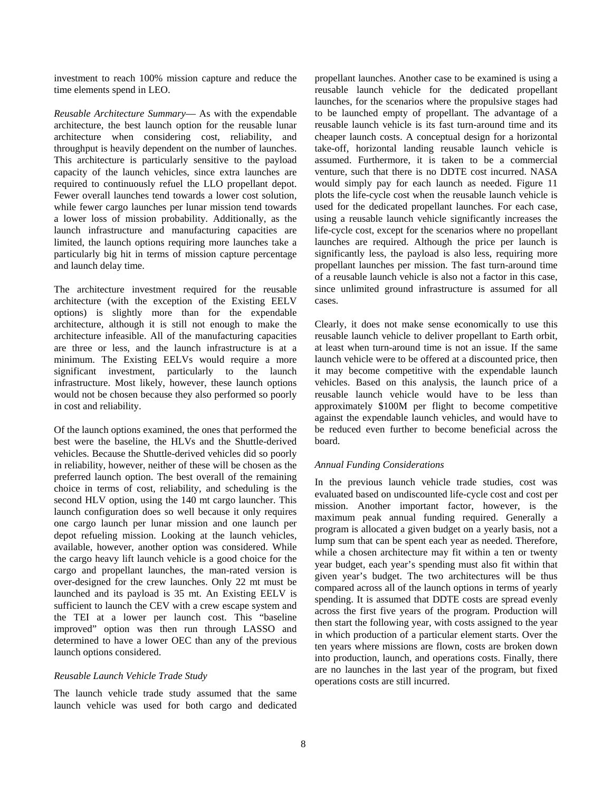investment to reach 100% mission capture and reduce the time elements spend in LEO.

*Reusable Architecture Summary*— As with the expendable architecture, the best launch option for the reusable lunar architecture when considering cost, reliability, and throughput is heavily dependent on the number of launches. This architecture is particularly sensitive to the payload capacity of the launch vehicles, since extra launches are required to continuously refuel the LLO propellant depot. Fewer overall launches tend towards a lower cost solution, while fewer cargo launches per lunar mission tend towards a lower loss of mission probability. Additionally, as the launch infrastructure and manufacturing capacities are limited, the launch options requiring more launches take a particularly big hit in terms of mission capture percentage and launch delay time.

The architecture investment required for the reusable architecture (with the exception of the Existing EELV options) is slightly more than for the expendable architecture, although it is still not enough to make the architecture infeasible. All of the manufacturing capacities are three or less, and the launch infrastructure is at a minimum. The Existing EELVs would require a more significant investment, particularly to the launch infrastructure. Most likely, however, these launch options would not be chosen because they also performed so poorly in cost and reliability.

Of the launch options examined, the ones that performed the best were the baseline, the HLVs and the Shuttle-derived vehicles. Because the Shuttle-derived vehicles did so poorly in reliability, however, neither of these will be chosen as the preferred launch option. The best overall of the remaining choice in terms of cost, reliability, and scheduling is the second HLV option, using the 140 mt cargo launcher. This launch configuration does so well because it only requires one cargo launch per lunar mission and one launch per depot refueling mission. Looking at the launch vehicles, available, however, another option was considered. While the cargo heavy lift launch vehicle is a good choice for the cargo and propellant launches, the man-rated version is over-designed for the crew launches. Only 22 mt must be launched and its payload is 35 mt. An Existing EELV is sufficient to launch the CEV with a crew escape system and the TEI at a lower per launch cost. This "baseline improved" option was then run through LASSO and determined to have a lower OEC than any of the previous launch options considered.

#### *Reusable Launch Vehicle Trade Study*

The launch vehicle trade study assumed that the same launch vehicle was used for both cargo and dedicated propellant launches. Another case to be examined is using a reusable launch vehicle for the dedicated propellant launches, for the scenarios where the propulsive stages had to be launched empty of propellant. The advantage of a reusable launch vehicle is its fast turn-around time and its cheaper launch costs. A conceptual design for a horizontal take-off, horizontal landing reusable launch vehicle is assumed. Furthermore, it is taken to be a commercial venture, such that there is no DDTE cost incurred. NASA would simply pay for each launch as needed. Figure 11 plots the life-cycle cost when the reusable launch vehicle is used for the dedicated propellant launches. For each case, using a reusable launch vehicle significantly increases the life-cycle cost, except for the scenarios where no propellant launches are required. Although the price per launch is significantly less, the payload is also less, requiring more propellant launches per mission. The fast turn-around time of a reusable launch vehicle is also not a factor in this case, since unlimited ground infrastructure is assumed for all cases.

Clearly, it does not make sense economically to use this reusable launch vehicle to deliver propellant to Earth orbit, at least when turn-around time is not an issue. If the same launch vehicle were to be offered at a discounted price, then it may become competitive with the expendable launch vehicles. Based on this analysis, the launch price of a reusable launch vehicle would have to be less than approximately \$100M per flight to become competitive against the expendable launch vehicles, and would have to be reduced even further to become beneficial across the board.

#### *Annual Funding Considerations*

In the previous launch vehicle trade studies, cost was evaluated based on undiscounted life-cycle cost and cost per mission. Another important factor, however, is the maximum peak annual funding required. Generally a program is allocated a given budget on a yearly basis, not a lump sum that can be spent each year as needed. Therefore, while a chosen architecture may fit within a ten or twenty year budget, each year's spending must also fit within that given year's budget. The two architectures will be thus compared across all of the launch options in terms of yearly spending. It is assumed that DDTE costs are spread evenly across the first five years of the program. Production will then start the following year, with costs assigned to the year in which production of a particular element starts. Over the ten years where missions are flown, costs are broken down into production, launch, and operations costs. Finally, there are no launches in the last year of the program, but fixed operations costs are still incurred.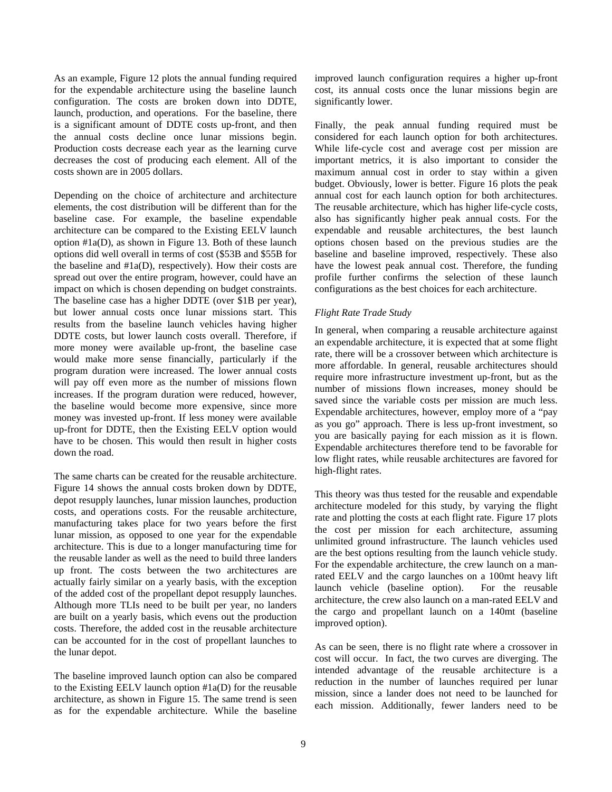As an example, Figure 12 plots the annual funding required for the expendable architecture using the baseline launch configuration. The costs are broken down into DDTE, launch, production, and operations. For the baseline, there is a significant amount of DDTE costs up-front, and then the annual costs decline once lunar missions begin. Production costs decrease each year as the learning curve decreases the cost of producing each element. All of the costs shown are in 2005 dollars.

Depending on the choice of architecture and architecture elements, the cost distribution will be different than for the baseline case. For example, the baseline expendable architecture can be compared to the Existing EELV launch option #1a(D), as shown in Figure 13. Both of these launch options did well overall in terms of cost (\$53B and \$55B for the baseline and #1a(D), respectively). How their costs are spread out over the entire program, however, could have an impact on which is chosen depending on budget constraints. The baseline case has a higher DDTE (over \$1B per year), but lower annual costs once lunar missions start. This results from the baseline launch vehicles having higher DDTE costs, but lower launch costs overall. Therefore, if more money were available up-front, the baseline case would make more sense financially, particularly if the program duration were increased. The lower annual costs will pay off even more as the number of missions flown increases. If the program duration were reduced, however, the baseline would become more expensive, since more money was invested up-front. If less money were available up-front for DDTE, then the Existing EELV option would have to be chosen. This would then result in higher costs down the road.

The same charts can be created for the reusable architecture. Figure 14 shows the annual costs broken down by DDTE, depot resupply launches, lunar mission launches, production costs, and operations costs. For the reusable architecture, manufacturing takes place for two years before the first lunar mission, as opposed to one year for the expendable architecture. This is due to a longer manufacturing time for the reusable lander as well as the need to build three landers up front. The costs between the two architectures are actually fairly similar on a yearly basis, with the exception of the added cost of the propellant depot resupply launches. Although more TLIs need to be built per year, no landers are built on a yearly basis, which evens out the production costs. Therefore, the added cost in the reusable architecture can be accounted for in the cost of propellant launches to the lunar depot.

The baseline improved launch option can also be compared to the Existing EELV launch option #1a(D) for the reusable architecture, as shown in Figure 15. The same trend is seen as for the expendable architecture. While the baseline

improved launch configuration requires a higher up-front cost, its annual costs once the lunar missions begin are significantly lower.

Finally, the peak annual funding required must be considered for each launch option for both architectures. While life-cycle cost and average cost per mission are important metrics, it is also important to consider the maximum annual cost in order to stay within a given budget. Obviously, lower is better. Figure 16 plots the peak annual cost for each launch option for both architectures. The reusable architecture, which has higher life-cycle costs, also has significantly higher peak annual costs. For the expendable and reusable architectures, the best launch options chosen based on the previous studies are the baseline and baseline improved, respectively. These also have the lowest peak annual cost. Therefore, the funding profile further confirms the selection of these launch configurations as the best choices for each architecture.

#### *Flight Rate Trade Study*

In general, when comparing a reusable architecture against an expendable architecture, it is expected that at some flight rate, there will be a crossover between which architecture is more affordable. In general, reusable architectures should require more infrastructure investment up-front, but as the number of missions flown increases, money should be saved since the variable costs per mission are much less. Expendable architectures, however, employ more of a "pay as you go" approach. There is less up-front investment, so you are basically paying for each mission as it is flown. Expendable architectures therefore tend to be favorable for low flight rates, while reusable architectures are favored for high-flight rates.

This theory was thus tested for the reusable and expendable architecture modeled for this study, by varying the flight rate and plotting the costs at each flight rate. Figure 17 plots the cost per mission for each architecture, assuming unlimited ground infrastructure. The launch vehicles used are the best options resulting from the launch vehicle study. For the expendable architecture, the crew launch on a manrated EELV and the cargo launches on a 100mt heavy lift launch vehicle (baseline option). For the reusable architecture, the crew also launch on a man-rated EELV and the cargo and propellant launch on a 140mt (baseline improved option).

As can be seen, there is no flight rate where a crossover in cost will occur. In fact, the two curves are diverging. The intended advantage of the reusable architecture is a reduction in the number of launches required per lunar mission, since a lander does not need to be launched for each mission. Additionally, fewer landers need to be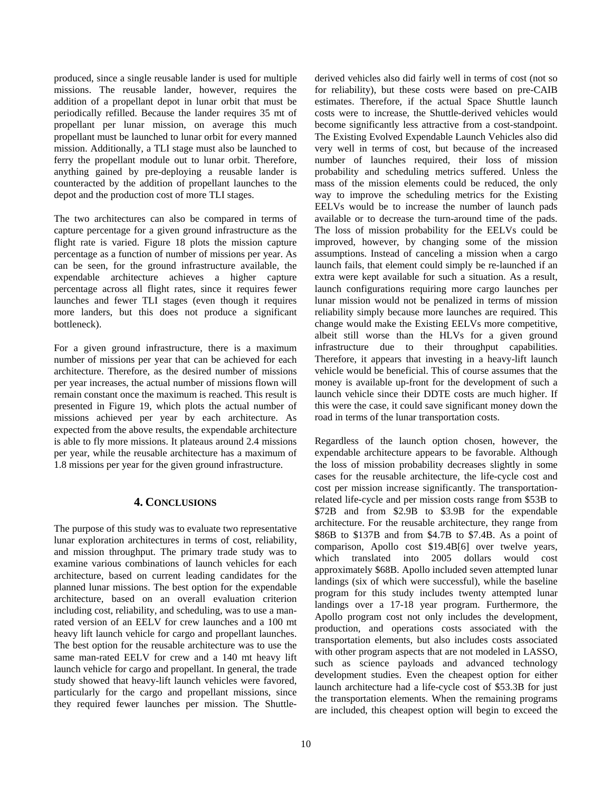produced, since a single reusable lander is used for multiple missions. The reusable lander, however, requires the addition of a propellant depot in lunar orbit that must be periodically refilled. Because the lander requires 35 mt of propellant per lunar mission, on average this much propellant must be launched to lunar orbit for every manned mission. Additionally, a TLI stage must also be launched to ferry the propellant module out to lunar orbit. Therefore, anything gained by pre-deploying a reusable lander is counteracted by the addition of propellant launches to the depot and the production cost of more TLI stages.

The two architectures can also be compared in terms of capture percentage for a given ground infrastructure as the flight rate is varied. Figure 18 plots the mission capture percentage as a function of number of missions per year. As can be seen, for the ground infrastructure available, the expendable architecture achieves a higher capture percentage across all flight rates, since it requires fewer launches and fewer TLI stages (even though it requires more landers, but this does not produce a significant bottleneck).

For a given ground infrastructure, there is a maximum number of missions per year that can be achieved for each architecture. Therefore, as the desired number of missions per year increases, the actual number of missions flown will remain constant once the maximum is reached. This result is presented in Figure 19, which plots the actual number of missions achieved per year by each architecture. As expected from the above results, the expendable architecture is able to fly more missions. It plateaus around 2.4 missions per year, while the reusable architecture has a maximum of 1.8 missions per year for the given ground infrastructure.

### **4. CONCLUSIONS**

The purpose of this study was to evaluate two representative lunar exploration architectures in terms of cost, reliability, and mission throughput. The primary trade study was to examine various combinations of launch vehicles for each architecture, based on current leading candidates for the planned lunar missions. The best option for the expendable architecture, based on an overall evaluation criterion including cost, reliability, and scheduling, was to use a manrated version of an EELV for crew launches and a 100 mt heavy lift launch vehicle for cargo and propellant launches. The best option for the reusable architecture was to use the same man-rated EELV for crew and a 140 mt heavy lift launch vehicle for cargo and propellant. In general, the trade study showed that heavy-lift launch vehicles were favored, particularly for the cargo and propellant missions, since they required fewer launches per mission. The Shuttlederived vehicles also did fairly well in terms of cost (not so for reliability), but these costs were based on pre-CAIB estimates. Therefore, if the actual Space Shuttle launch costs were to increase, the Shuttle-derived vehicles would become significantly less attractive from a cost-standpoint. The Existing Evolved Expendable Launch Vehicles also did very well in terms of cost, but because of the increased number of launches required, their loss of mission probability and scheduling metrics suffered. Unless the mass of the mission elements could be reduced, the only way to improve the scheduling metrics for the Existing EELVs would be to increase the number of launch pads available or to decrease the turn-around time of the pads. The loss of mission probability for the EELVs could be improved, however, by changing some of the mission assumptions. Instead of canceling a mission when a cargo launch fails, that element could simply be re-launched if an extra were kept available for such a situation. As a result, launch configurations requiring more cargo launches per lunar mission would not be penalized in terms of mission reliability simply because more launches are required. This change would make the Existing EELVs more competitive, albeit still worse than the HLVs for a given ground infrastructure due to their throughput capabilities. Therefore, it appears that investing in a heavy-lift launch vehicle would be beneficial. This of course assumes that the money is available up-front for the development of such a launch vehicle since their DDTE costs are much higher. If this were the case, it could save significant money down the road in terms of the lunar transportation costs.

Regardless of the launch option chosen, however, the expendable architecture appears to be favorable. Although the loss of mission probability decreases slightly in some cases for the reusable architecture, the life-cycle cost and cost per mission increase significantly. The transportationrelated life-cycle and per mission costs range from \$53B to \$72B and from \$2.9B to \$3.9B for the expendable architecture. For the reusable architecture, they range from \$86B to \$137B and from \$4.7B to \$7.4B. As a point of comparison, Apollo cost \$19.4B[6] over twelve years, which translated into 2005 dollars would cost approximately \$68B. Apollo included seven attempted lunar landings (six of which were successful), while the baseline program for this study includes twenty attempted lunar landings over a 17-18 year program. Furthermore, the Apollo program cost not only includes the development, production, and operations costs associated with the transportation elements, but also includes costs associated with other program aspects that are not modeled in LASSO, such as science payloads and advanced technology development studies. Even the cheapest option for either launch architecture had a life-cycle cost of \$53.3B for just the transportation elements. When the remaining programs are included, this cheapest option will begin to exceed the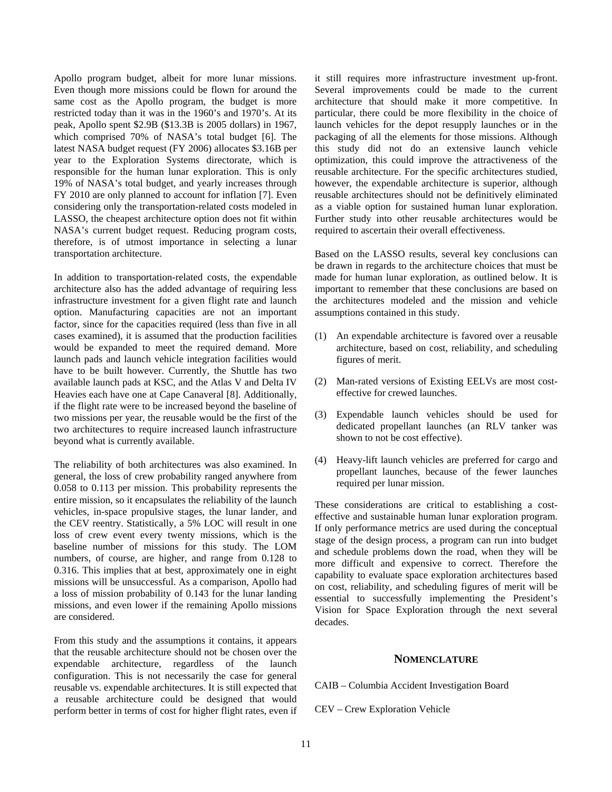Apollo program budget, albeit for more lunar missions. Even though more missions could be flown for around the same cost as the Apollo program, the budget is more restricted today than it was in the 1960's and 1970's. At its peak, Apollo spent \$2.9B (\$13.3B is 2005 dollars) in 1967, which comprised 70% of NASA's total budget [6]. The latest NASA budget request (FY 2006) allocates \$3.16B per year to the Exploration Systems directorate, which is responsible for the human lunar exploration. This is only 19% of NASA's total budget, and yearly increases through FY 2010 are only planned to account for inflation [7]. Even considering only the transportation-related costs modeled in LASSO, the cheapest architecture option does not fit within NASA's current budget request. Reducing program costs, therefore, is of utmost importance in selecting a lunar transportation architecture.

In addition to transportation-related costs, the expendable architecture also has the added advantage of requiring less infrastructure investment for a given flight rate and launch option. Manufacturing capacities are not an important factor, since for the capacities required (less than five in all cases examined), it is assumed that the production facilities would be expanded to meet the required demand. More launch pads and launch vehicle integration facilities would have to be built however. Currently, the Shuttle has two available launch pads at KSC, and the Atlas V and Delta IV Heavies each have one at Cape Canaveral [8]. Additionally, if the flight rate were to be increased beyond the baseline of two missions per year, the reusable would be the first of the two architectures to require increased launch infrastructure beyond what is currently available.

The reliability of both architectures was also examined. In general, the loss of crew probability ranged anywhere from 0.058 to 0.113 per mission. This probability represents the entire mission, so it encapsulates the reliability of the launch vehicles, in-space propulsive stages, the lunar lander, and the CEV reentry. Statistically, a 5% LOC will result in one loss of crew event every twenty missions, which is the baseline number of missions for this study. The LOM numbers, of course, are higher, and range from 0.128 to 0.316. This implies that at best, approximately one in eight missions will be unsuccessful. As a comparison, Apollo had a loss of mission probability of 0.143 for the lunar landing missions, and even lower if the remaining Apollo missions are considered.

From this study and the assumptions it contains, it appears that the reusable architecture should not be chosen over the expendable architecture, regardless of the launch configuration. This is not necessarily the case for general reusable vs. expendable architectures. It is still expected that a reusable architecture could be designed that would perform better in terms of cost for higher flight rates, even if

it still requires more infrastructure investment up-front. Several improvements could be made to the current architecture that should make it more competitive. In particular, there could be more flexibility in the choice of launch vehicles for the depot resupply launches or in the packaging of all the elements for those missions. Although this study did not do an extensive launch vehicle optimization, this could improve the attractiveness of the reusable architecture. For the specific architectures studied, however, the expendable architecture is superior, although reusable architectures should not be definitively eliminated as a viable option for sustained human lunar exploration. Further study into other reusable architectures would be required to ascertain their overall effectiveness.

Based on the LASSO results, several key conclusions can be drawn in regards to the architecture choices that must be made for human lunar exploration, as outlined below. It is important to remember that these conclusions are based on the architectures modeled and the mission and vehicle assumptions contained in this study.

- (1) An expendable architecture is favored over a reusable architecture, based on cost, reliability, and scheduling figures of merit.
- (2) Man-rated versions of Existing EELVs are most costeffective for crewed launches.
- (3) Expendable launch vehicles should be used for dedicated propellant launches (an RLV tanker was shown to not be cost effective).
- (4) Heavy-lift launch vehicles are preferred for cargo and propellant launches, because of the fewer launches required per lunar mission.

These considerations are critical to establishing a costeffective and sustainable human lunar exploration program. If only performance metrics are used during the conceptual stage of the design process, a program can run into budget and schedule problems down the road, when they will be more difficult and expensive to correct. Therefore the capability to evaluate space exploration architectures based on cost, reliability, and scheduling figures of merit will be essential to successfully implementing the President's Vision for Space Exploration through the next several decades.

#### **NOMENCLATURE**

CAIB – Columbia Accident Investigation Board

CEV – Crew Exploration Vehicle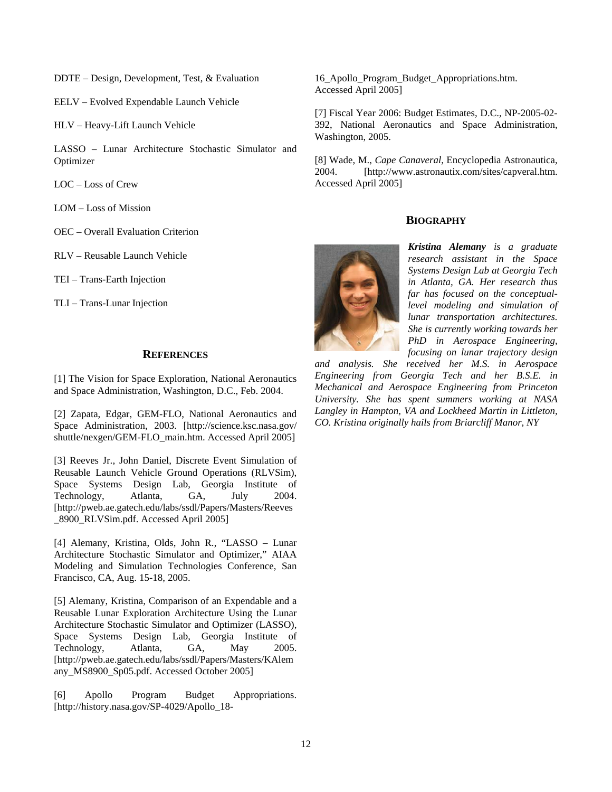DDTE – Design, Development, Test, & Evaluation

EELV – Evolved Expendable Launch Vehicle

HLV – Heavy-Lift Launch Vehicle

LASSO – Lunar Architecture Stochastic Simulator and **Optimizer** 

LOC – Loss of Crew

LOM – Loss of Mission

OEC – Overall Evaluation Criterion

RLV – Reusable Launch Vehicle

TEI – Trans-Earth Injection

TLI – Trans-Lunar Injection

## **REFERENCES**

[1] The Vision for Space Exploration, National Aeronautics and Space Administration, Washington, D.C., Feb. 2004.

[2] Zapata, Edgar, GEM-FLO, National Aeronautics and Space Administration, 2003. [http://science.ksc.nasa.gov/ shuttle/nexgen/GEM-FLO\_main.htm. Accessed April 2005]

[3] Reeves Jr., John Daniel, Discrete Event Simulation of Reusable Launch Vehicle Ground Operations (RLVSim), Space Systems Design Lab, Georgia Institute of Technology, Atlanta, GA, July 2004. [http://pweb.ae.gatech.edu/labs/ssdl/Papers/Masters/Reeves \_8900\_RLVSim.pdf. Accessed April 2005]

[4] Alemany, Kristina, Olds, John R., "LASSO – Lunar Architecture Stochastic Simulator and Optimizer," AIAA Modeling and Simulation Technologies Conference, San Francisco, CA, Aug. 15-18, 2005.

[5] Alemany, Kristina, Comparison of an Expendable and a Reusable Lunar Exploration Architecture Using the Lunar Architecture Stochastic Simulator and Optimizer (LASSO), Space Systems Design Lab, Georgia Institute of Technology, Atlanta, GA, May 2005. [http://pweb.ae.gatech.edu/labs/ssdl/Papers/Masters/KAlem any\_MS8900\_Sp05.pdf. Accessed October 2005]

[6] Apollo Program Budget Appropriations. [http://history.nasa.gov/SP-4029/Apollo\_18-

16\_Apollo\_Program\_Budget\_Appropriations.htm. Accessed April 2005]

[7] Fiscal Year 2006: Budget Estimates, D.C., NP-2005-02- 392, National Aeronautics and Space Administration, Washington, 2005.

[8] Wade, M., *Cape Canaveral*, Encyclopedia Astronautica, 2004. [http://www.astronautix.com/sites/capveral.htm. Accessed April 2005]

## **BIOGRAPHY**



*Kristina Alemany is a graduate research assistant in the Space Systems Design Lab at Georgia Tech in Atlanta, GA. Her research thus far has focused on the conceptuallevel modeling and simulation of lunar transportation architectures. She is currently working towards her PhD in Aerospace Engineering, focusing on lunar trajectory design* 

*and analysis. She received her M.S. in Aerospace Engineering from Georgia Tech and her B.S.E. in Mechanical and Aerospace Engineering from Princeton University. She has spent summers working at NASA Langley in Hampton, VA and Lockheed Martin in Littleton, CO. Kristina originally hails from Briarcliff Manor, NY*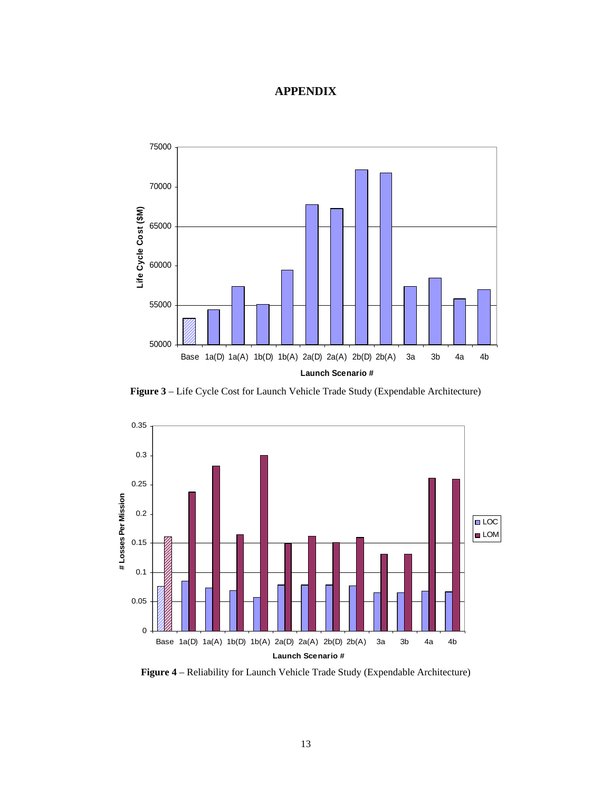## **APPENDIX**



**Figure 3** – Life Cycle Cost for Launch Vehicle Trade Study (Expendable Architecture)



**Figure 4** – Reliability for Launch Vehicle Trade Study (Expendable Architecture)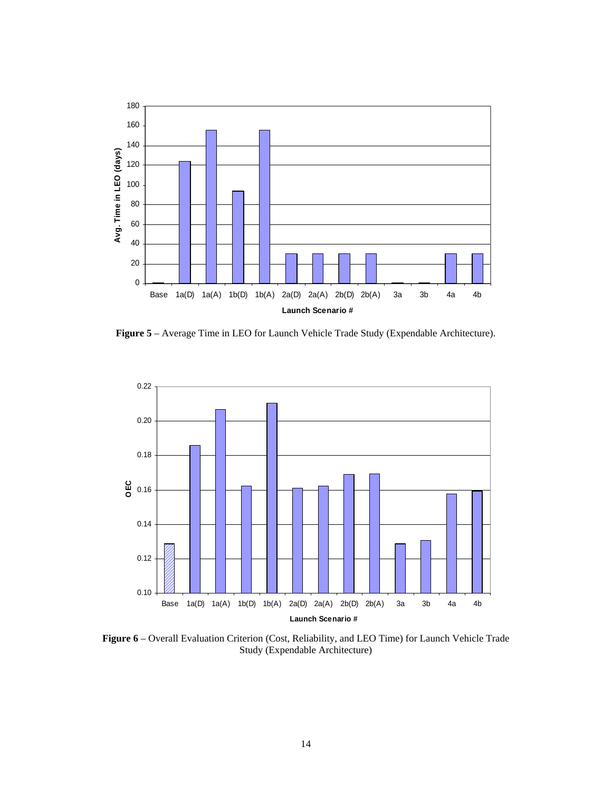

**Figure 5** – Average Time in LEO for Launch Vehicle Trade Study (Expendable Architecture).



**Figure 6** – Overall Evaluation Criterion (Cost, Reliability, and LEO Time) for Launch Vehicle Trade Study (Expendable Architecture)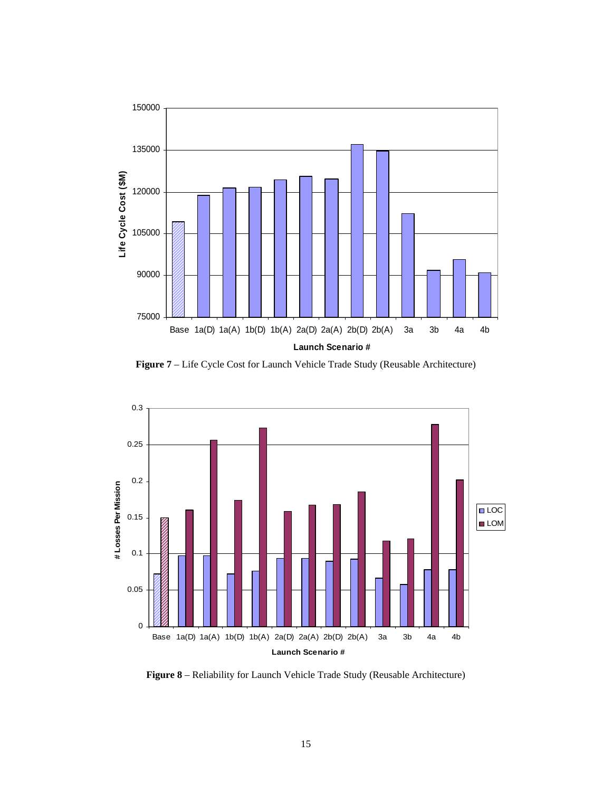

**Figure 7** – Life Cycle Cost for Launch Vehicle Trade Study (Reusable Architecture)



**Figure 8** – Reliability for Launch Vehicle Trade Study (Reusable Architecture)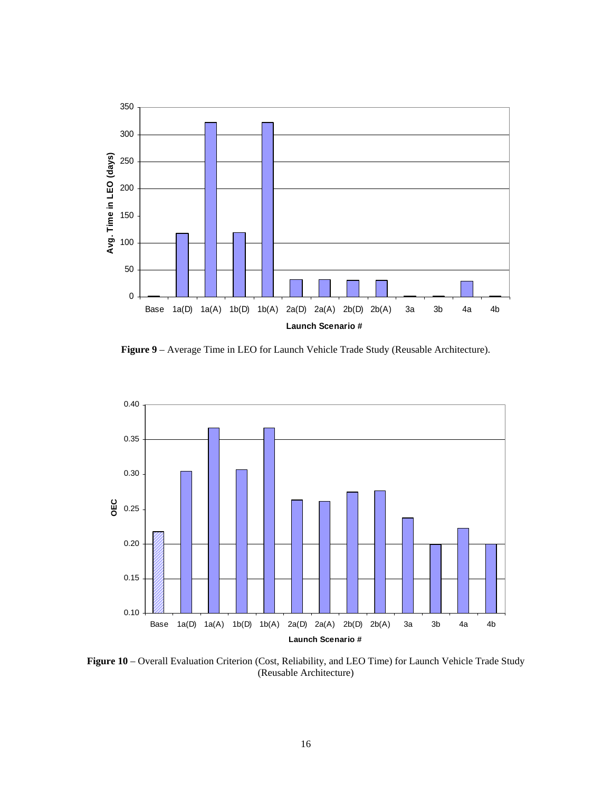

**Figure 9** – Average Time in LEO for Launch Vehicle Trade Study (Reusable Architecture).



**Figure 10** – Overall Evaluation Criterion (Cost, Reliability, and LEO Time) for Launch Vehicle Trade Study (Reusable Architecture)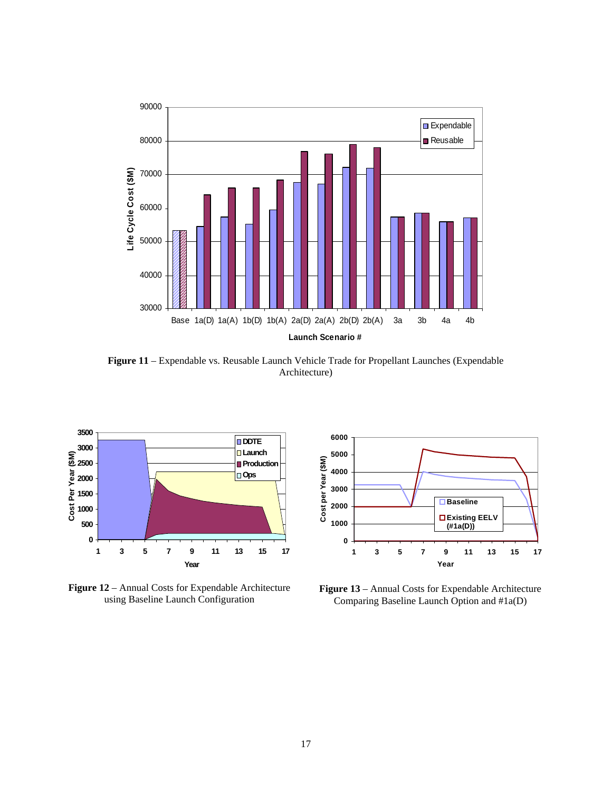

**Figure 11** – Expendable vs. Reusable Launch Vehicle Trade for Propellant Launches (Expendable Architecture)



**Figure 12** – Annual Costs for Expendable Architecture using Baseline Launch Configuration



**Figure 13** – Annual Costs for Expendable Architecture Comparing Baseline Launch Option and #1a(D)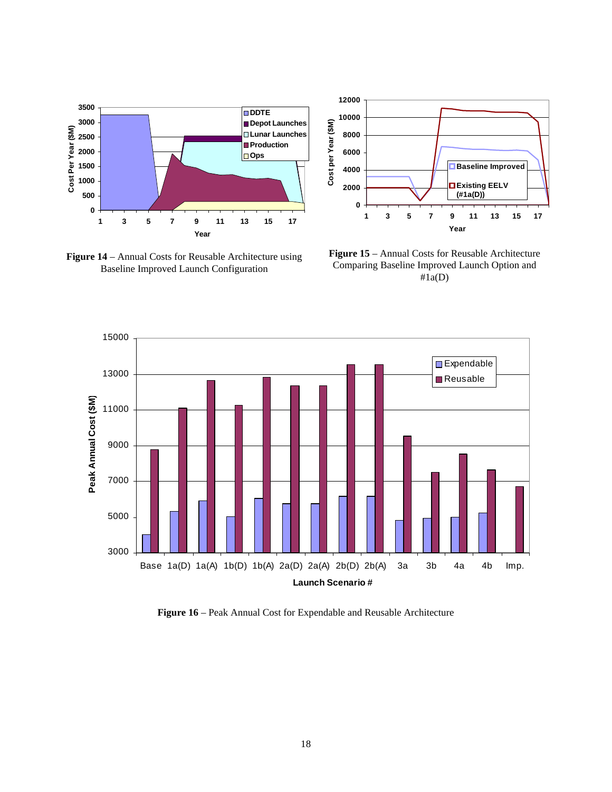

**Figure 14** – Annual Costs for Reusable Architecture using Baseline Improved Launch Configuration



**Figure 15** – Annual Costs for Reusable Architecture Comparing Baseline Improved Launch Option and  $#1a(D)$ 



**Figure 16** – Peak Annual Cost for Expendable and Reusable Architecture